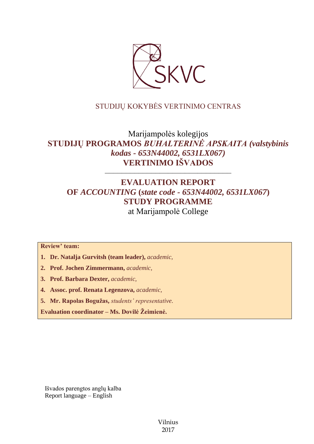

## STUDIJŲ KOKYBĖS VERTINIMO CENTRAS

# Marijampolės kolegijos **STUDIJŲ PROGRAMOS** *BUHALTERINĖ APSKAITA (valstybinis kodas - 653N44002, 6531LX067)* **VERTINIMO IŠVADOS**

––––––––––––––––––––––––––––––

## **EVALUATION REPORT OF** *ACCOUNTING* **(***state code - 653N44002, 6531LX067***) STUDY PROGRAMME** at Marijampolė College

**Review' team:** 

- **1. Dr. Natalja Gurvitsh (team leader),** *academic,*
- **2. Prof. Jochen Zimmermann,** *academic,*
- **3. Prof. Barbara Dexter,** *academic,*
- **4. Assoc. prof. Renata Legenzova,** *academic,*
- **5. Mr. Rapolas Bogužas,** *students' representative*.

**Evaluation coordinator – Ms. Dovilė Žeimienė.**

Išvados parengtos anglų kalba Report language – English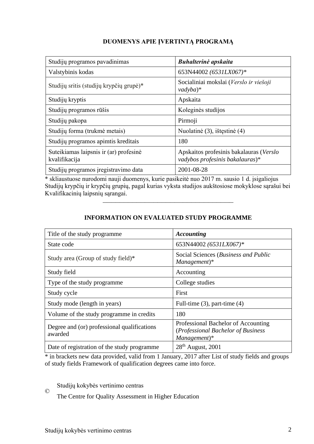## **DUOMENYS APIE ĮVERTINTĄ PROGRAMĄ**

| Studijų programos pavadinimas                           | Buhalterinė apskaita                                                       |
|---------------------------------------------------------|----------------------------------------------------------------------------|
| Valstybinis kodas                                       | 653N44002 (6531LX067)*                                                     |
| Studijų sritis (studijų krypčių grupė)*                 | Socialiniai mokslai (Verslo ir viešoji<br>$\nu$ adyba $)$ *                |
| Studijų kryptis                                         | Apskaita                                                                   |
| Studijų programos rūšis                                 | Koleginės studijos                                                         |
| Studijų pakopa                                          | Pirmoji                                                                    |
| Studijų forma (trukmė metais)                           | Nuolatinė (3), ištęstinė (4)                                               |
| Studijų programos apimtis kreditais                     | 180                                                                        |
| Suteikiamas laipsnis ir (ar) profesinė<br>kvalifikacija | Apskaitos profesinis bakalauras (Verslo<br>vadybos profesinis bakalauras)* |
| Studijų programos įregistravimo data                    | 2001-08-28                                                                 |

\* skliaustuose nurodomi nauji duomenys, kurie pasikeitė nuo 2017 m. sausio 1 d. įsigaliojus Studijų krypčių ir krypčių grupių, pagal kurias vyksta studijos aukštosiose mokyklose sąrašui bei Kvalifikacinių laipsnių sąrangai.

–––––––––––––––––––––––––––––––

| <b>INFORMATION ON EVALUATED STUDY PROGRAMME</b> |  |
|-------------------------------------------------|--|
|                                                 |  |

| Title of the study programme.                          | <b>Accounting</b>                                                                           |
|--------------------------------------------------------|---------------------------------------------------------------------------------------------|
| State code                                             | 653N44002 (6531LX067)*                                                                      |
| Study area (Group of study field)*                     | Social Sciences (Business and Public<br>$Management)*$                                      |
| Study field                                            | Accounting                                                                                  |
| Type of the study programme                            | College studies                                                                             |
| Study cycle                                            | First                                                                                       |
| Study mode (length in years)                           | Full-time $(3)$ , part-time $(4)$                                                           |
| Volume of the study programme in credits               | 180                                                                                         |
| Degree and (or) professional qualifications<br>awarded | Professional Bachelor of Accounting<br>(Professional Bachelor of Business<br>$Management)*$ |
| Date of registration of the study programme            | $28th$ August, 2001                                                                         |

\* in brackets new data provided, valid from 1 January, 2017 after List of study fields and groups of study fields Framework of qualification degrees came into force.

Studijų kokybės vertinimo centras

The Centre for Quality Assessment in Higher Education

©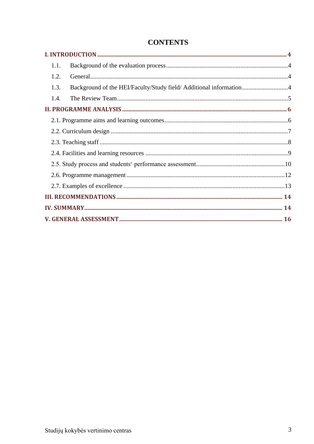| 1.1.                                                                       |  |
|----------------------------------------------------------------------------|--|
| 1.2.                                                                       |  |
| Background of the HEI/Faculty/Study field/ Additional information4<br>1.3. |  |
| 1.4.                                                                       |  |
|                                                                            |  |
|                                                                            |  |
|                                                                            |  |
|                                                                            |  |
|                                                                            |  |
|                                                                            |  |
|                                                                            |  |
|                                                                            |  |
|                                                                            |  |
|                                                                            |  |
|                                                                            |  |

## **CONTENTS**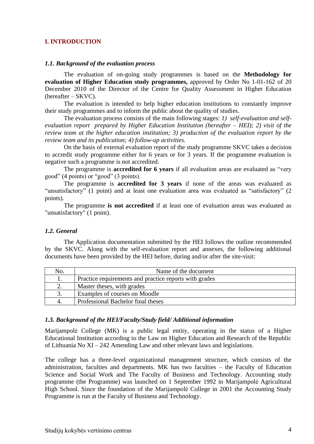### <span id="page-3-0"></span>**I. INTRODUCTION**

#### <span id="page-3-1"></span>*1.1. Background of the evaluation process*

The evaluation of on-going study programmes is based on the **Methodology for evaluation of Higher Education study programmes,** approved by Order No 1-01-162 of 20 December 2010 of the Director of the Centre for Quality Assessment in Higher Education (hereafter – SKVC).

The evaluation is intended to help higher education institutions to constantly improve their study programmes and to inform the public about the quality of studies.

The evaluation process consists of the main following stages: *1) self-evaluation and selfevaluation report prepared by Higher Education Institution (hereafter – HEI); 2) visit of the review team at the higher education institution; 3) production of the evaluation report by the review team and its publication; 4) follow-up activities.* 

On the basis of external evaluation report of the study programme SKVC takes a decision to accredit study programme either for 6 years or for 3 years. If the programme evaluation is negative such a programme is not accredited.

The programme is **accredited for 6 years** if all evaluation areas are evaluated as "very good" (4 points) or "good" (3 points).

The programme is **accredited for 3 years** if none of the areas was evaluated as "unsatisfactory" (1 point) and at least one evaluation area was evaluated as "satisfactory" (2 points).

The programme **is not accredited** if at least one of evaluation areas was evaluated as "unsatisfactory" (1 point).

#### <span id="page-3-2"></span>*1.2. General*

The Application documentation submitted by the HEI follows the outline recommended by the SKVC. Along with the self-evaluation report and annexes, the following additional documents have been provided by the HEI before, during and/or after the site-visit:

| No. | Name of the document                                   |
|-----|--------------------------------------------------------|
|     | Practice requirements and practice reports with grades |
|     | Master theses, with grades                             |
| 3.  | Examples of courses on Moodle                          |
|     | Professional Bachelor final theses                     |

#### <span id="page-3-3"></span>*1.3. Background of the HEI/Faculty/Study field/ Additional information*

Marijampolė College (MK) is a public legal entity, operating in the status of a Higher Educational Institution according to the Law on Higher Education and Research of the Republic of Lithuania No XI – 242 Amending Law and other relevant laws and legislations.

The college has a three-level organizational management structure, which consists of the administration, faculties and departments. MK has two faculties – the Faculty of Education Science and Social Work and The Faculty of Business and Technology. Accounting study programme (the Programme) was launched on 1 September 1992 in Marijampolė Agricultural High School. Since the foundation of the Marijampolė College in 2001 the Accounting Study Programme is run at the Faculty of Business and Technology.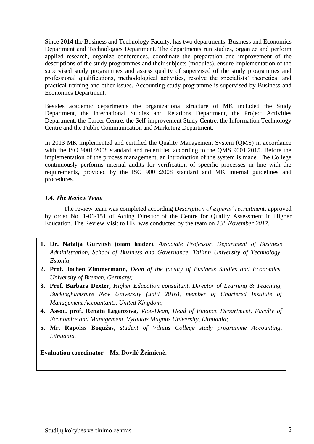Since 2014 the Business and Technology Faculty, has two departments: Business and Economics Department and Technologies Department. The departments run studies, organize and perform applied research, organize conferences, coordinate the preparation and improvement of the descriptions of the study programmes and their subjects (modules), ensure implementation of the supervised study programmes and assess quality of supervised of the study programmes and professional qualifications, methodological activities, resolve the specialists' theoretical and practical training and other issues. Accounting study programme is supervised by Business and Economics Department.

Besides academic departments the organizational structure of MK included the Study Department, the International Studies and Relations Department, the Project Activities Department, the Career Centre, the Self-improvement Study Centre, the Information Technology Centre and the Public Communication and Marketing Department.

In 2013 MK implemented and certified the Quality Management System (QMS) in accordance with the ISO 9001:2008 standard and recertified according to the QMS 9001:2015. Before the implementation of the process management, an introduction of the system is made. The College continuously performs internal audits for verification of specific processes in line with the requirements, provided by the ISO 9001:2008 standard and MK internal guidelines and procedures.

### <span id="page-4-0"></span>*1.4. The Review Team*

The review team was completed according *Description of experts' recruitment*, approved by order No. 1-01-151 of Acting Director of the Centre for Quality Assessment in Higher Education. The Review Visit to HEI was conducted by the team on 23 rd *November 2017.*

- **1. Dr. Natalja Gurvitsh (team leader)**, *Associate Professor, Department of Business Administration, School of Business and Governance, Tallinn University of Technology, Estonia;*
- **2. Prof. Jochen Zimmermann,** *Dean of the faculty of Business Studies and Economics, University of Bremen, Germany;*
- **3. Prof. Barbara Dexter,** *Higher Education consultant, Director of Learning & Teaching, Buckinghamshire New University (until 2016), member of Chartered Institute of Management Accountants, United Kingdom;*
- <span id="page-4-1"></span>**4. Assoc. prof. Renata Legenzova,** *Vice-Dean, Head of Finance Department, Faculty of Economics and Management, Vytautas Magnus University, Lithuania;*
- **5. Mr. Rapolas Bogužas,** *student of Vilnius College study programme Accounting, Lithuania.*

**Evaluation coordinator – Ms. Dovilė Žeimienė.**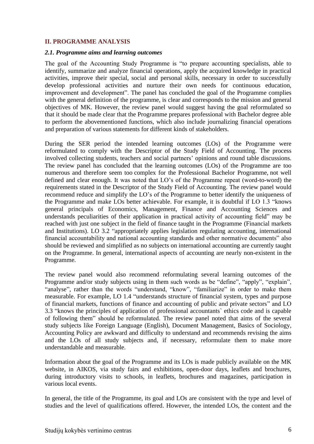### **II. PROGRAMME ANALYSIS**

#### <span id="page-5-0"></span>*2.1. Programme aims and learning outcomes*

The goal of the Accounting Study Programme is "to prepare accounting specialists, able to identify, summarize and analyze financial operations, apply the acquired knowledge in practical activities, improve their special, social and personal skills, necessary in order to successfully develop professional activities and nurture their own needs for continuous education, improvement and development". The panel has concluded the goal of the Programme complies with the general definition of the programme, is clear and corresponds to the mission and general objectives of MK. However, the review panel would suggest having the goal reformulated so that it should be made clear that the Programme prepares professional with Bachelor degree able to perform the abovementioned functions, which also include journalizing financial operations and preparation of various statements for different kinds of stakeholders.

During the SER period the intended learning outcomes (LOs) of the Programme were reformulated to comply with the Descriptor of the Study Field of Accounting. The process involved collecting students, teachers and social partners' opinions and round table discussions. The review panel has concluded that the learning outcomes (LOs) of the Programme are too numerous and therefore seem too complex for the Professional Bachelor Programme, not well defined and clear enough. It was noted that LO's of the Programme repeat (word-to-word) the requirements stated in the Descriptor of the Study Field of Accounting. The review panel would recommend reduce and simplify the LO's of the Programme to better identify the uniqueness of the Programme and make LOs better achievable. For example, it is doubtful if LO 1.3 "knows general principals of Economics, Management, Finance and Accounting Sciences and understands peculiarities of their application in practical activity of accounting field" may be reached with just one subject in the field of finance taught in the Programme (Financial markets and Institutions). LO 3.2 "appropriately applies legislation regulating accounting, international financial accountability and national accounting standards and other normative documents" also should be reviewed and simplified as no subjects on international accounting are currently taught on the Programme. In general, international aspects of accounting are nearly non-existent in the Programme.

The review panel would also recommend reformulating several learning outcomes of the Programme and/or study subjects using in them such words as be "define", "apply", "explain", "analyse", rather than the words "understand, "know", "familiarize" in order to make them measurable. For example, LO 1.4 "understands structure of financial system, types and purpose of financial markets, functions of finance and accounting of public and private sectors" and LO 3.3 "knows the principles of application of professional accountants` ethics code and is capable of following them" should be reformulated. The review panel noted that aims of the several study subjects like Foreign Language (English), Document Management, Basics of Sociology, Accounting Policy are awkward and difficulty to understand and recommends revising the aims and the LOs of all study subjects and, if necessary, reformulate them to make more understandable and measurable.

Information about the goal of the Programme and its LOs is made publicly available on the MK website, in AIKOS, via study fairs and exhibitions, open-door days, leaflets and brochures, during introductory visits to schools, in leaflets, brochures and magazines, participation in various local events.

In general, the title of the Programme, its goal and LOs are consistent with the type and level of studies and the level of qualifications offered. However, the intended LOs, the content and the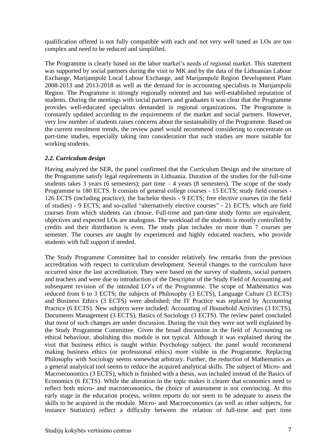qualification offered is not fully compatible with each and not very well tuned as LOs are too complex and need to be reduced and simplified.

The Programme is clearly based on the labor market's needs of regional market. This statement was supported by social partners during the visit to MK and by the data of the Lithuanian Labour Exchange, Marijampolė Local Labour Exchange, and Marijampolė Region Development Plans 2008-2013 and 2013-2018 as well as the demand for in accounting specialists in Marijampolė Region. The Programme is strongly regionally oriented and has well-established reputation of students. During the meetings with social partners and graduates it was clear that the Programme provides well-educated specialists demanded in regional organizations. The Programme is constantly updated according to the requirements of the market and social partners. However, very low number of students raises concerns about the sustainability of the Programme. Based on the current enrolment trends, the review panel would recommend considering to concentrate on part-time studies, especially taking into consideration that such studies are more suitable for working students.

## <span id="page-6-0"></span>*2.2. Curriculum design*

Having analyzed the SER, the panel confirmed that the Curriculum Design and the structure of the Programme satisfy legal requirements in Lithuania. Duration of the studies for the full-time students takes 3 years (6 semesters); part time  $-4$  years (8 semesters). The scope of the study Programme is 180 ECTS. It consists of general college courses - 15 ECTS; study field courses - 126 ECTS (including practice); the bachelor thesis - 9 ECTS; free elective courses (in the field of studies) - 9 ECTS; and so-called "alternatively elective courses" - 21 ECTS, which are field courses from which students can choose. Full-time and part-time study forms are equivalent, objectives and expected LOs are analogous. The workload of the students is mostly controlled by credits and their distribution is even. The study plan includes no more than 7 courses per semester. The courses are taught by experienced and highly educated teachers, who provide students with full support if needed.

The Study Programme Committee had to consider relatively few remarks from the previous accreditation with respect to curriculum development. Several changes to the curriculum have occurred since the last accreditation. They were based on the survey of students, social partners and teachers and were due to introduction of the Descriptor of the Study Field of Accounting and subsequent revision of the intended LO's of the Programme. The scope of Mathematics was reduced from 6 to 3 ECTS; the subjects of Philosophy (3 ECTS), Language Culture (3 ECTS) and Business Ethics (3 ECTS) were abolished; the IT Practice was replaced by Accounting Practice (6 ECTS). New subjects were included: Accounting of Household Activities (3 ECTS), Documents Management (3 ECTS), Basics of Sociology (3 ECTS). The review panel concluded that most of such changes are under discussion. During the visit they were not well explained by the Study Programme Committee. Given the broad discussion in the field of Accounting on ethical behaviour, abolishing this module is not typical. Although it was explained during the visit that business ethics is taught within Psychology subject, the panel would recommend making business ethics (or professional ethics) more visible in the Programme. Replacing Philosophy with Sociology seems somewhat arbitrary. Further, the reduction of Mathematics as a general analytical tool seems to reduce the acquired analytical skills. The subject of Micro- and Macroeconomics (3 ECTS), which is finished with a thesis, was included instead of the Basics of Economics (6 ECTS). While the alteration in the topic makes it clearer that economics need to reflect both micro- and macroeconomics, the choice of assessment is not convincing. At this early stage in the education process, written reports do not seem to be adequate to assess the skills to be acquired in the module. Micro- and Macroeconomics (as well as other subjects, for instance Statistics) reflect a difficulty between the relation of full-time and part time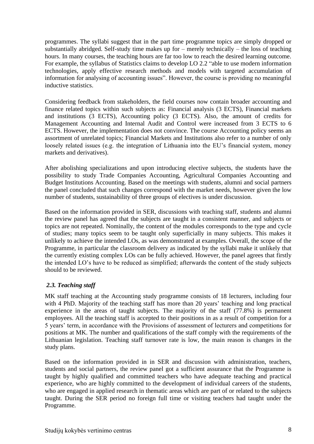programmes. The syllabi suggest that in the part time programme topics are simply dropped or substantially abridged. Self-study time makes up for – merely technically – the loss of teaching hours. In many courses, the teaching hours are far too low to reach the desired learning outcome. For example, the syllabus of Statistics claims to develop LO 2.2 "able to use modern information technologies, apply effective research methods and models with targeted accumulation of information for analysing of accounting issues". However, the course is providing no meaningful inductive statistics.

Considering feedback from stakeholders, the field courses now contain broader accounting and finance related topics within such subjects as: Financial analysis (3 ECTS), Financial markets and institutions (3 ECTS), Accounting policy (3 ECTS). Also, the amount of credits for Management Accounting and Internal Audit and Control were increased from 3 ECTS to 6 ECTS. However, the implementation does not convince. The course Accounting policy seems an assortment of unrelated topics; Financial Markets and Institutions also refer to a number of only loosely related issues (e.g. the integration of Lithuania into the EU's financial system, money markets and derivatives).

After abolishing specializations and upon introducing elective subjects, the students have the possibility to study Trade Companies Accounting, Agricultural Companies Accounting and Budget Institutions Accounting. Based on the meetings with students, alumni and social partners the panel concluded that such changes correspond with the market needs, however given the low number of students, sustainability of three groups of electives is under discussion.

Based on the information provided in SER, discussions with teaching staff, students and alumni the review panel has agreed that the subjects are taught in a consistent manner, and subjects or topics are not repeated. Nominally, the content of the modules corresponds to the type and cycle of studies; many topics seem to be taught only superficially in many subjects. This makes it unlikely to achieve the intended LOs, as was demonstrated at examples. Overall, the scope of the Programme, in particular the classroom delivery as indicated by the syllabi make it unlikely that the currently existing complex LOs can be fully achieved. However, the panel agrees that firstly the intended LO's have to be reduced as simplified; afterwards the content of the study subjects should to be reviewed.

## <span id="page-7-0"></span>*2.3. Teaching staff*

MK staff teaching at the Accounting study programme consists of 18 lecturers, including four with 4 PhD. Majority of the teaching staff has more than 20 years' teaching and long practical experience in the areas of taught subjects. The majority of the staff (77.8%) is permanent employees. All the teaching staff is accepted to their positions in as a result of competition for a 5 years' term, in accordance with the Provisions of assessment of lecturers and competitions for positions at MK. The number and qualifications of the staff comply with the requirements of the Lithuanian legislation. Teaching staff turnover rate is low, the main reason is changes in the study plans.

Based on the information provided in in SER and discussion with administration, teachers, students and social partners, the review panel got a sufficient assurance that the Programme is taught by highly qualified and committed teachers who have adequate teaching and practical experience, who are highly committed to the development of individual careers of the students, who are engaged in applied research in thematic areas which are part of or related to the subjects taught. During the SER period no foreign full time or visiting teachers had taught under the Programme.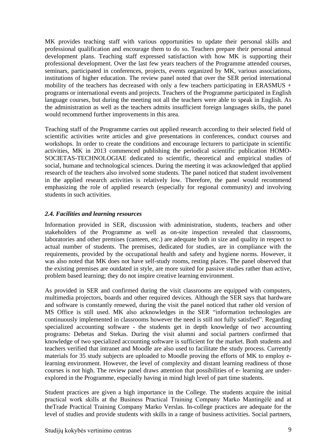MK provides teaching staff with various opportunities to update their personal skills and professional qualification and encourage them to do so. Teachers prepare their personal annual development plans. Teaching staff expressed satisfaction with how MK is supporting their professional development. Over the last few years teachers of the Programme attended courses, seminars, participated in conferences, projects, events organized by MK, various associations, institutions of higher education. The review panel noted that over the SER period international mobility of the teachers has decreased with only a few teachers participating in ERASMUS  $+$ programs or international events and projects. Teachers of the Programme participated in English language courses, but during the meeting not all the teachers were able to speak in English. As the administration as well as the teachers admits insufficient foreign languages skills, the panel would recommend further improvements in this area.

Teaching staff of the Programme carries out applied research according to their selected field of scientific activities write articles and give presentations in conferences, conduct courses and workshops. In order to create the conditions and encourage lecturers to participate in scientific activities, MK in 2013 commenced publishing the periodical scientific publication HOMO-SOCIETAS-TECHNOLOGIAE dedicated to scientific, theoretical and empirical studies of social, humane and technological sciences. During the meeting it was acknowledged that applied research of the teachers also involved some students. The panel noticed that student involvement in the applied research activities is relatively low. Therefore, the panel would recommend emphasizing the role of applied research (especially for regional community) and involving students in such activities.

## <span id="page-8-0"></span>*2.4. Facilities and learning resources*

Information provided in SER, discussion with administration, students, teachers and other stakeholders of the Programme as well as on-site inspection revealed that classrooms, laboratories and other premises (canteen, etc.) are adequate both in size and quality in respect to actual number of students. The premises, dedicated for studies, are in compliance with the requirements, provided by the occupational health and safety and hygiene norms. However, it was also noted that MK does not have self-study rooms, resting places. The panel observed that the existing premises are outdated in style, are more suited for passive studies rather than active, problem based learning; they do not inspire creative learning environment.

As provided in SER and confirmed during the visit classrooms are equipped with computers, multimedia projectors, boards and other required devices. Although the SER says that hardware and software is constantly renewed, during the visit the panel noticed that rather old version of MS Office is still used. MK also acknowledges in the SER "information technologies are continuously implemented in classrooms however the need is still not fully satisfied". Regarding specialized accounting software - the students get in depth knowledge of two accounting programs: Debetas and Stekas. During the visit alumni and social partners confirmed that knowledge of two specialized accounting software is sufficient for the market. Both students and teachers verified that intranet and Moodle are also used to facilitate the study process. Currently materials for 35 study subjects are uploaded to Moodle proving the efforts of MK to employ elearning environment. However, the level of complexity and distant learning readiness of those courses is not high. The review panel draws attention that possibilities of e- learning are underexplored in the Programme, especially having in mind high level of part time students.

Student practices are given a high importance in the College. The students acquire the initial practical work skills at the Business Practical Training Company Marko Mantingėlė and at theTrade Practical Training Company Marko Verslas. In-college practices are adequate for the level of studies and provide students with skills in a range of business activities. Social partners,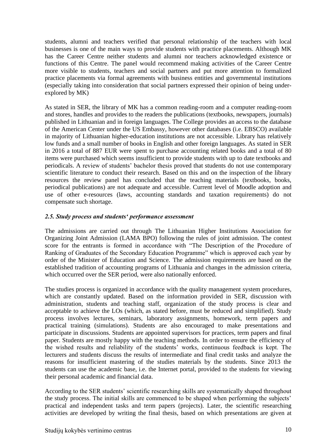students, alumni and teachers verified that personal relationship of the teachers with local businesses is one of the main ways to provide students with practice placements. Although MK has the Career Centre neither students and alumni nor teachers acknowledged existence or functions of this Centre. The panel would recommend making activities of the Career Centre more visible to students, teachers and social partners and put more attention to formalized practice placements via formal agreements with business entities and governmental institutions (especially taking into consideration that social partners expressed their opinion of being underexplored by MK)

As stated in SER, the library of MK has a common reading-room and a computer reading-room and stores, handles and provides to the readers the publications (textbooks, newspapers, journals) published in Lithuanian and in foreign languages. The College provides an access to the database of the American Center under the US Embassy, however other databases (i.e. EBSCO) available in majority of Lithuanian higher-education institutions are not accessible. Library has relatively low funds and a small number of books in English and other foreign languages. As stated in SER in 2016 a total of 887 EUR were spent to purchase accounting related books and a total of 80 items were purchased which seems insufficient to provide students with up to date textbooks and periodicals. A review of students' bachelor thesis proved that students do not use contemporary scientific literature to conduct their research. Based on this and on the inspection of the library resources the review panel has concluded that the teaching materials (textbooks, books, periodical publications) are not adequate and accessible. Current level of Moodle adoption and use of other e-resources (laws, accounting standards and taxation requirements) do not compensate such shortage.

## <span id="page-9-0"></span>*2.5. Study process and students' performance assessment*

The admissions are carried out through The Lithuanian Higher Institutions Association for Organizing Joint Admission (LAMA BPO) following the rules of joint admission. The contest score for the entrants is formed in accordance with "The Description of the Procedure of Ranking of Graduates of the Secondary Education Programme" which is approved each year by order of the Minister of Education and Science. The admission requirements are based on the established tradition of accounting programs of Lithuania and changes in the admission criteria, which occurred over the SER period, were also nationally enforced.

The studies process is organized in accordance with the quality management system procedures, which are constantly updated. Based on the information provided in SER, discussion with administration, students and teaching staff, organization of the study process is clear and acceptable to achieve the LOs (which, as stated before, must be reduced and simplified). Study process involves lectures, seminars, laboratory assignments, homework, term papers and practical training (simulations). Students are also encouraged to make presentations and participate in discussions. Students are appointed supervisors for practices, term papers and final paper. Students are mostly happy with the teaching methods. In order to ensure the efficiency of the wished results and reliability of the students' works, continuous feedback is kept. The lecturers and students discuss the results of intermediate and final credit tasks and analyze the reasons for insufficient mastering of the studies materials by the students. Since 2013 the students can use the academic base, i.e. the Internet portal, provided to the students for viewing their personal academic and financial data.

According to the SER students' scientific researching skills are systematically shaped throughout the study process. The initial skills are commenced to be shaped when performing the subjects' practical and independent tasks and term papers (projects). Later, the scientific researching activities are developed by writing the final thesis, based on which presentations are given at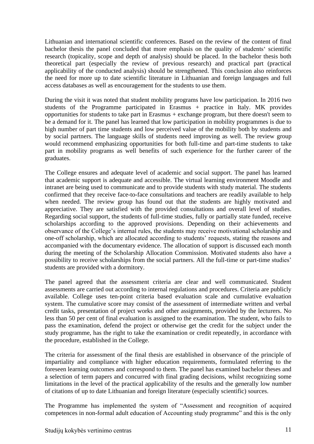Lithuanian and international scientific conferences. Based on the review of the content of final bachelor thesis the panel concluded that more emphasis on the quality of students' scientific research (topicality, scope and depth of analysis) should be placed. In the bachelor thesis both theoretical part (especially the review of previous research) and practical part (practical applicability of the conducted analysis) should be strengthened. This conclusion also reinforces the need for more up to date scientific literature in Lithuanian and foreign languages and full access databases as well as encouragement for the students to use them.

During the visit it was noted that student mobility programs have low participation. In 2016 two students of the Programme participated in Erasmus + practice in Italy. MK provides opportunities for students to take part in Erasmus + exchange program, but there doesn't seem to be a demand for it. The panel has learned that low participation in mobility programmes is due to high number of part time students and low perceived value of the mobility both by students and by social partners. The language skills of students need improving as well. The review group would recommend emphasizing opportunities for both full-time and part-time students to take part in mobility programs as well benefits of such experience for the further career of the graduates.

The College ensures and adequate level of academic and social support. The panel has learned that academic support is adequate and accessible. The virtual learning environment Moodle and intranet are being used to communicate and to provide students with study material. The students confirmed that they receive face-to-face consultations and teachers are readily available to help when needed. The review group has found out that the students are highly motivated and appreciative. They are satisfied with the provided consultations and overall level of studies. Regarding social support, the students of full-time studies, fully or partially state funded, receive scholarships according to the approved provisions. Depending on their achievements and observance of the College's internal rules, the students may receive motivational scholarship and one-off scholarship, which are allocated according to students' requests, stating the reasons and accompanied with the documentary evidence. The allocation of support is discussed each month during the meeting of the Scholarship Allocation Commission. Motivated students also have a possibility to receive scholarships from the social partners. All the full-time or part-time studies' students are provided with a dormitory.

The panel agreed that the assessment criteria are clear and well communicated. Student assessments are carried out according to internal regulations and procedures. Criteria are publicly available. College uses ten-point criteria based evaluation scale and cumulative evaluation system. The cumulative score may consist of the assessment of intermediate written and verbal credit tasks, presentation of project works and other assignments, provided by the lecturers. No less than 50 per cent of final evaluation is assigned to the examination. The student, who fails to pass the examination, defend the project or otherwise get the credit for the subject under the study programme, has the right to take the examination or credit repeatedly, in accordance with the procedure, established in the College.

The criteria for assessment of the final thesis are established in observance of the principle of impartiality and compliance with higher education requirements, formulated referring to the foreseen learning outcomes and correspond to them. The panel has examined bachelor theses and a selection of term papers and concurred with final grading decisions, whilst recognizing some limitations in the level of the practical applicability of the results and the generally low number of citations of up to date Lithuanian and foreign literature (especially scientific) sources.

The Programme has implemented the system of "Assessment and recognition of acquired competences in non-formal adult education of Accounting study programme" and this is the only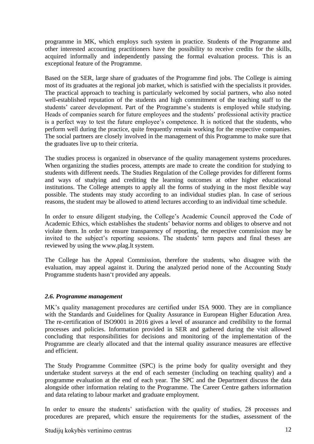programme in MK, which employs such system in practice. Students of the Programme and other interested accounting practitioners have the possibility to receive credits for the skills, acquired informally and independently passing the formal evaluation process. This is an exceptional feature of the Programme.

Based on the SER, large share of graduates of the Programme find jobs. The College is aiming most of its graduates at the regional job market, which is satisfied with the specialists it provides. The practical approach to teaching is particularly welcomed by social partners, who also noted well-established reputation of the students and high commitment of the teaching staff to the students' career development. Part of the Programme's students is employed while studying. Heads of companies search for future employees and the students' professional activity practice is a perfect way to test the future employee's competence. It is noticed that the students, who perform well during the practice, quite frequently remain working for the respective companies. The social partners are closely involved in the management of this Programme to make sure that the graduates live up to their criteria.

The studies process is organized in observance of the quality management systems procedures. When organizing the studies process, attempts are made to create the condition for studying to students with different needs. The Studies Regulation of the College provides for different forms and ways of studying and crediting the learning outcomes at other higher educational institutions. The College attempts to apply all the forms of studying in the most flexible way possible. The students may study according to an individual studies plan. In case of serious reasons, the student may be allowed to attend lectures according to an individual time schedule.

In order to ensure diligent studying, the College's Academic Council approved the Code of Academic Ethics, which establishes the students' behavior norms and obliges to observe and not violate them. In order to ensure transparency of reporting, the respective commission may be invited to the subject's reporting sessions. The students' term papers and final theses are reviewed by using the www.plag.lt system.

The College has the Appeal Commission, therefore the students, who disagree with the evaluation, may appeal against it. During the analyzed period none of the Accounting Study Programme students hasn't provided any appeals.

## <span id="page-11-0"></span>*2.6. Programme management*

MK's quality management procedures are certified under ISA 9000. They are in compliance with the Standards and Guidelines for Quality Assurance in European Higher Education Area. The re-certification of ISO9001 in 2016 gives a level of assurance and credibility to the formal processes and policies. Information provided in SER and gathered during the visit allowed concluding that responsibilities for decisions and monitoring of the implementation of the Programme are clearly allocated and that the internal quality assurance measures are effective and efficient.

The Study Programme Committee (SPC) is the prime body for quality oversight and they undertake student surveys at the end of each semester (including on teaching quality) and a programme evaluation at the end of each year. The SPC and the Department discuss the data alongside other information relating to the Programme. The Career Centre gathers information and data relating to labour market and graduate employment.

In order to ensure the students' satisfaction with the quality of studies, 28 processes and procedures are prepared, which ensure the requirements for the studies, assessment of the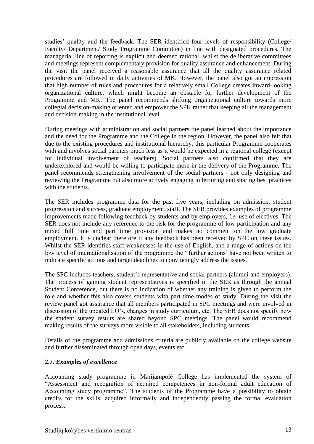studies' quality and the feedback. The SER identified four levels of responsibility (College/ Faculty/ Department/ Study Programme Committee) in line with designated procedures. The managerial line of reporting is explicit and deemed rational, whilst the deliberative committees and meetings represent complementary provision for quality assurance and enhancement. During the visit the panel received a reasonable assurance that all the quality assurance related procedures are followed in daily activities of MK. However, the panel also got an impression that high number of rules and procedures for a relatively small College creates inward-looking organizational culture, which might become an obstacle for further development of the Programme and MK. The panel recommends shifting organizational culture towards more collegial decision-making oriented and empower the SPK rather that keeping all the management and decision-making in the institutional level.

During meetings with administration and social partners the panel learned about the importance and the need for the Programme and the College in the region. However, the panel also felt that due to the existing procedures and institutional hierarchy, this particular Programme cooperates with and involves social partners much less as it would be expected in a regional college (except for individual involvement of teachers). Social partners also confirmed that they are underexplored and would be willing to participate more in the delivery of the Programme. The panel recommends strengthening involvement of the social partners - not only designing and reviewing the Programme but also more actively engaging in lecturing and sharing best practices with the students.

The SER includes programme data for the past five years, including on admission, student progression and success, graduate employment, staff. The SER provides examples of programme improvements made following feedback by students and by employers, *i.e.* use of electives. The SER does not include any reference to the risk for the programme of low participation and any mixed full time and part time provision and makes no comment on the low graduate employment. It is unclear therefore if any feedback has been received by SPC on these issues. Whilst the SER identifies staff weaknesses in the use of English, and a range of actions on the low level of internationalisation of the programme the ' further actions' have not been written to indicate specific actions and target deadlines to convincingly address the issues.

The SPC includes teachers, student's representative and social partners (alumni and employers). The process of gaining student representatives is specified in the SER as through the annual Student Conference, but there is no indication of whether any training is given to perform the role and whether this also covers students with part-time modes of study. During the visit the review panel got assurance that all members participated in SPC meetings and were involved in discussion of the updated LO's, changes in study curriculum, etc. The SER does not specify how the student survey results are shared beyond SPC meetings. The panel would recommend making results of the surveys more visible to all stakeholders, including students.

Details of the programme and admissions criteria are publicly available on the college website and further disseminated through open days, events etc.

## <span id="page-12-0"></span>**2.7.** *Examples of excellence*

Accounting study programme in Marijampolė College has implemented the system of "Assessment and recognition of acquired competences in non-formal adult education of Accounting study programme". The students of the Programme have a possibility to obtain credits for the skills, acquired informally and independently passing the formal evaluation process.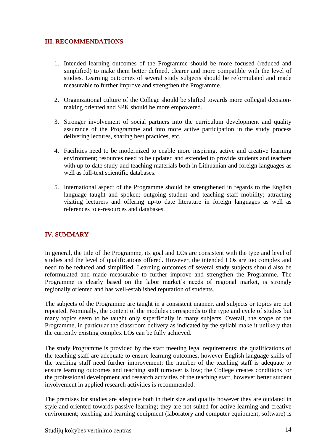## <span id="page-13-0"></span>**III. RECOMMENDATIONS**

- 1. Intended learning outcomes of the Programme should be more focused (reduced and simplified) to make them better defined, clearer and more compatible with the level of studies. Learning outcomes of several study subjects should be reformulated and made measurable to further improve and strengthen the Programme.
- 2. Organizational culture of the College should be shifted towards more collegial decisionmaking oriented and SPK should be more empowered.
- 3. Stronger involvement of social partners into the curriculum development and quality assurance of the Programme and into more active participation in the study process delivering lectures, sharing best practices, etc.
- 4. Facilities need to be modernized to enable more inspiring, active and creative learning environment; resources need to be updated and extended to provide students and teachers with up to date study and teaching materials both in Lithuanian and foreign languages as well as full-text scientific databases.
- 5. International aspect of the Programme should be strengthened in regards to the English language taught and spoken; outgoing student and teaching staff mobility; attracting visiting lecturers and offering up-to date literature in foreign languages as well as references to e-resources and databases.

## <span id="page-13-1"></span>**IV. SUMMARY**

In general, the title of the Programme, its goal and LOs are consistent with the type and level of studies and the level of qualifications offered. However, the intended LOs are too complex and need to be reduced and simplified. Learning outcomes of several study subjects should also be reformulated and made measurable to further improve and strengthen the Programme. The Programme is clearly based on the labor market's needs of regional market, is strongly regionally oriented and has well-established reputation of students.

The subjects of the Programme are taught in a consistent manner, and subjects or topics are not repeated. Nominally, the content of the modules corresponds to the type and cycle of studies but many topics seem to be taught only superficially in many subjects. Overall, the scope of the Programme, in particular the classroom delivery as indicated by the syllabi make it unlikely that the currently existing complex LOs can be fully achieved.

The study Programme is provided by the staff meeting legal requirements; the qualifications of the teaching staff are adequate to ensure learning outcomes, however English language skills of the teaching staff need further improvement; the number of the teaching staff is adequate to ensure learning outcomes and teaching staff turnover is low; the College creates conditions for the professional development and research activities of the teaching staff, however better student involvement in applied research activities is recommended.

The premises for studies are adequate both in their size and quality however they are outdated in style and oriented towards passive learning; they are not suited for active learning and creative environment; teaching and learning equipment (laboratory and computer equipment, software) is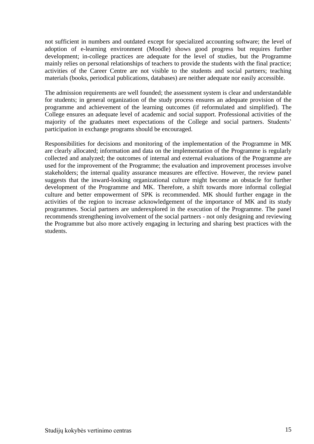not sufficient in numbers and outdated except for specialized accounting software; the level of adoption of e-learning environment (Moodle) shows good progress but requires further development; in-college practices are adequate for the level of studies, but the Programme mainly relies on personal relationships of teachers to provide the students with the final practice; activities of the Career Centre are not visible to the students and social partners; teaching materials (books, periodical publications, databases) are neither adequate nor easily accessible.

The admission requirements are well founded; the assessment system is clear and understandable for students; in general organization of the study process ensures an adequate provision of the programme and achievement of the learning outcomes (if reformulated and simplified). The College ensures an adequate level of academic and social support. Professional activities of the majority of the graduates meet expectations of the College and social partners. Students' participation in exchange programs should be encouraged.

<span id="page-14-0"></span>Responsibilities for decisions and monitoring of the implementation of the Programme in MK are clearly allocated; information and data on the implementation of the Programme is regularly collected and analyzed; the outcomes of internal and external evaluations of the Programme are used for the improvement of the Programme; the evaluation and improvement processes involve stakeholders; the internal quality assurance measures are effective. However, the review panel suggests that the inward-looking organizational culture might become an obstacle for further development of the Programme and MK. Therefore, a shift towards more informal collegial culture and better empowerment of SPK is recommended. MK should further engage in the activities of the region to increase acknowledgement of the importance of MK and its study programmes. Social partners are underexplored in the execution of the Programme. The panel recommends strengthening involvement of the social partners - not only designing and reviewing the Programme but also more actively engaging in lecturing and sharing best practices with the students.